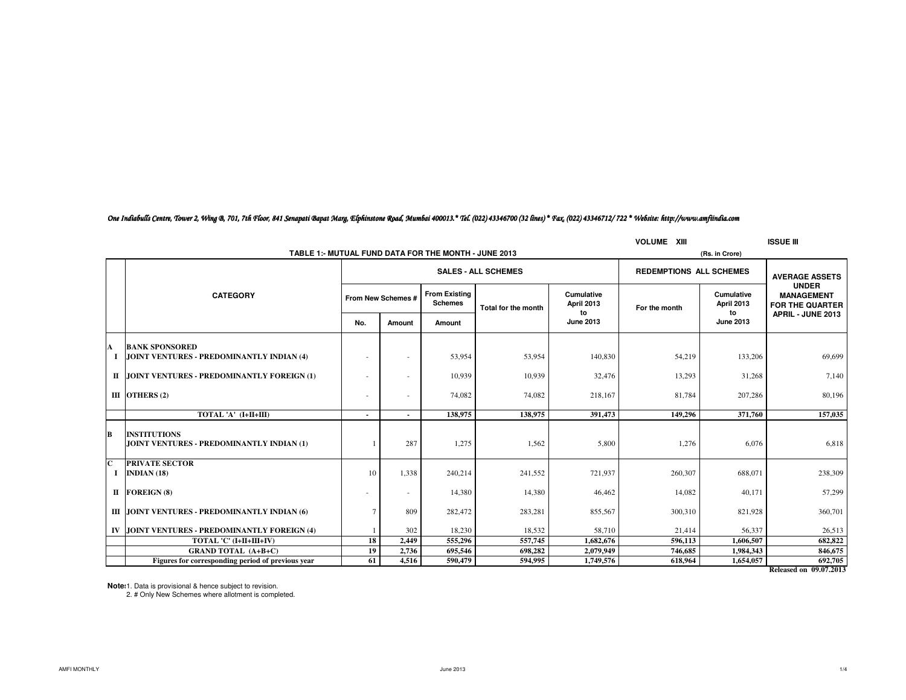## *One Indiabulls Centre, Tower 2, Wing B, 701, 7th Floor, 841 Senapati Bapat Marg, Elphinstone Road, Mumbai 400013.\* Tel. (022) 43346700 (32 lines) \* Fax. (022) 43346712/ 722 \* Website: http://www.amfiindia.com*

|              |                                                                  |                            |                |                                        |                     |                                | <b>VOLUME XIII</b> |                                | <b>ISSUE III</b>                                     |
|--------------|------------------------------------------------------------------|----------------------------|----------------|----------------------------------------|---------------------|--------------------------------|--------------------|--------------------------------|------------------------------------------------------|
|              | (Rs. in Crore)                                                   |                            |                |                                        |                     |                                |                    |                                |                                                      |
|              |                                                                  | <b>SALES - ALL SCHEMES</b> |                |                                        |                     | <b>REDEMPTIONS ALL SCHEMES</b> |                    | <b>AVERAGE ASSETS</b>          |                                                      |
|              | <b>CATEGORY</b>                                                  | From New Schemes #         |                | <b>From Existing</b><br><b>Schemes</b> | Total for the month | Cumulative<br>April 2013       | For the month      | Cumulative<br>April 2013<br>to | <b>UNDER</b><br><b>MANAGEMENT</b><br>FOR THE QUARTER |
|              |                                                                  | No.                        | Amount         | Amount                                 |                     | to<br><b>June 2013</b>         |                    | <b>June 2013</b>               | APRIL - JUNE 2013                                    |
| A            | <b>BANK SPONSORED</b>                                            |                            |                |                                        |                     |                                |                    |                                |                                                      |
|              | JOINT VENTURES - PREDOMINANTLY INDIAN (4)                        |                            |                | 53,954                                 | 53,954              | 140,830                        | 54,219             | 133,206                        | 69.699                                               |
|              | II JOINT VENTURES - PREDOMINANTLY FOREIGN (1)                    | ٠                          |                | 10,939                                 | 10,939              | 32,476                         | 13,293             | 31,268                         | 7,140                                                |
|              | III OTHERS $(2)$                                                 | ٠                          | $\sim$         | 74,082                                 | 74,082              | 218,167                        | 81,784             | 207,286                        | 80,196                                               |
|              | TOTAL 'A' (I+II+III)                                             | Ĭ.                         |                | 138,975                                | 138,975             | 391,473                        | 149,296            | 371,760                        | 157,035                                              |
| в            | <b>INSTITUTIONS</b><br>JOINT VENTURES - PREDOMINANTLY INDIAN (1) |                            | 287            | 1,275                                  | 1,562               | 5,800                          | 1,276              | 6.076                          | 6,818                                                |
| $\mathbf{C}$ | <b>PRIVATE SECTOR</b><br>$I$ INDIAN (18)                         | 10                         | 1,338          | 240,214                                | 241,552             | 721,937                        | 260,307            | 688,071                        | 238,309                                              |
|              | II FOREIGN (8)                                                   | ×                          | $\overline{a}$ | 14,380                                 | 14,380              | 46,462                         | 14,082             | 40.171                         | 57,299                                               |
|              | III JOINT VENTURES - PREDOMINANTLY INDIAN (6)                    |                            | 809            | 282,472                                | 283,281             | 855,567                        | 300,310            | 821,928                        | 360,701                                              |
| IV           | JOINT VENTURES - PREDOMINANTLY FOREIGN (4)                       |                            | 302            | 18,230                                 | 18,532              | 58,710                         | 21,414             | 56,337                         | 26,513                                               |
|              | TOTAL 'C' (I+II+III+IV)                                          | 18                         | 2,449          | 555,296                                | 557,745             | 1,682,676                      | 596,113            | 1,606,507                      | 682,822                                              |
|              | <b>GRAND TOTAL (A+B+C)</b>                                       | 19                         | 2,736          | 695,546                                | 698,282             | 2,079,949                      | 746,685            | 1,984,343                      | 846,675                                              |
|              | Figures for corresponding period of previous year                | 61                         | 4,516          | 590,479                                | 594,995             | 1,749,576                      | 618,964            | 1,654,057                      | 692,705                                              |
|              |                                                                  |                            |                |                                        |                     |                                |                    |                                | <b>Delegand on 00072013</b>                          |

**Released on 09.07.2013**

**Notes:**1. Data is provisional & hence subject to revision. 2. # Only New Schemes where allotment is completed.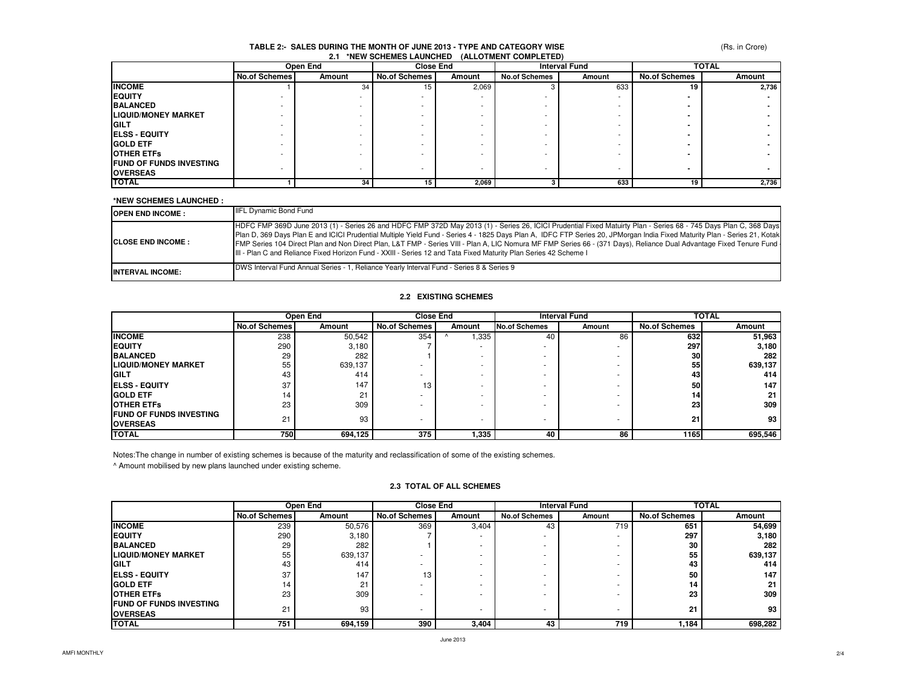#### **TABLE 2:- SALES DURING THE MONTH OF JUNE 2013 - TYPE AND CATEGORY WISE2.1 \*NEW SCHEMES LAUNCHED (ALLOTMENT COMPLETED)**

(Rs. in Crore)

|                                | Open End             |        | <b>Close End</b> |        | <b>Interval Fund</b>     |                          | <b>TOTAL</b>         |        |
|--------------------------------|----------------------|--------|------------------|--------|--------------------------|--------------------------|----------------------|--------|
|                                | <b>No.of Schemes</b> | Amount | No.of Schemes    | Amount | <b>No.of Schemes</b>     | Amount                   | <b>No.of Schemes</b> | Amount |
| <b>INCOME</b>                  |                      | 34     | 15               | 2,069  |                          | 633                      | 19                   | 2,736  |
| <b>EQUITY</b>                  |                      |        |                  |        |                          |                          |                      |        |
| <b>BALANCED</b>                |                      |        |                  |        |                          |                          |                      |        |
| <b>LIQUID/MONEY MARKET</b>     |                      |        |                  |        |                          |                          |                      |        |
| <b>IGILT</b>                   |                      |        |                  |        |                          |                          |                      |        |
| <b>IELSS - EQUITY</b>          |                      |        |                  |        |                          |                          |                      |        |
| <b>GOLD ETF</b>                |                      |        |                  |        |                          |                          |                      |        |
| <b>OTHER ETFS</b>              |                      |        |                  |        |                          |                          |                      |        |
| <b>FUND OF FUNDS INVESTING</b> |                      |        |                  |        |                          |                          |                      |        |
| <b>OVERSEAS</b>                |                      |        | <b>.</b>         |        | $\overline{\phantom{0}}$ | $\overline{\phantom{0}}$ |                      |        |
| <b>TOTAL</b>                   |                      | 34     | 15               | 2,069  |                          | 633                      | 19                   | 2,736  |

#### **\*NEW SCHEMES LAUNCHED :**

| <b>OPEN END INCOME :</b>   | <b>IIFL Dynamic Bond Fund</b>                                                                                                                                                                                                                                                                                                                                                                                                                                                                                                                                                                                                            |
|----------------------------|------------------------------------------------------------------------------------------------------------------------------------------------------------------------------------------------------------------------------------------------------------------------------------------------------------------------------------------------------------------------------------------------------------------------------------------------------------------------------------------------------------------------------------------------------------------------------------------------------------------------------------------|
| <b>ICLOSE END INCOME :</b> | HDFC FMP 369D June 2013 (1) - Series 26 and HDFC FMP 372D May 2013 (1) - Series 26, ICICI Prudential Fixed Matuirty Plan - Series 68 - 745 Days Plan C, 368 Days<br>Plan D, 369 Days Plan E and ICICI Prudential Multiple Yield Fund - Series 4 - 1825 Days Plan A, IDFC FTP Series 20, JPMorgan India Fixed Maturity Plan - Series 21, Kotak<br>FMP Series 104 Direct Plan and Non Direct Plan, L&T FMP - Series VIII - Plan A, LIC Nomura MF FMP Series 66 - (371 Days), Reliance Dual Advantage Fixed Tenure Fund<br>III - Plan C and Reliance Fixed Horizon Fund - XXIII - Series 12 and Tata Fixed Maturity Plan Series 42 Scheme I |
| <b>INTERVAL INCOME:</b>    | DWS Interval Fund Annual Series - 1, Reliance Yearly Interval Fund - Series 8 & Series 9                                                                                                                                                                                                                                                                                                                                                                                                                                                                                                                                                 |

## **2.2 EXISTING SCHEMES**

|                                 | Open End             |         | <b>Close End</b>     |        | <b>Interval Fund</b> |        | TOTAL                |         |
|---------------------------------|----------------------|---------|----------------------|--------|----------------------|--------|----------------------|---------|
|                                 | <b>No.of Schemes</b> | Amount  | <b>No.of Schemes</b> | Amount | <b>No.of Schemes</b> | Amount | <b>No.of Schemes</b> | Amount  |
| <b>INCOME</b>                   | 238                  | 50,542  | 354                  | .335   | 40                   | 86     | 632                  | 51,963  |
| <b>IEQUITY</b>                  | 290                  | 3,180   |                      |        |                      |        | 297                  | 3,180   |
| <b>BALANCED</b>                 | 29                   | 282     |                      |        |                      |        | 30                   | 282     |
| <b>ILIQUID/MONEY MARKET</b>     | 55                   | 639,137 |                      |        |                      |        | 55                   | 639,137 |
| <b>IGILT</b>                    | 43                   | 414     |                      |        |                      |        | 43.                  | 414     |
| <b>IELSS - EQUITY</b>           | 37                   | 147     | 13                   |        |                      |        | 50                   | 147     |
| <b>IGOLD ETF</b>                | 14                   | 21      |                      |        |                      |        | 14                   | 21      |
| <b>OTHER ETFS</b>               | 23                   | 309     |                      |        |                      |        | <b>23</b>            | 309     |
| <b>IFUND OF FUNDS INVESTING</b> |                      |         |                      |        |                      |        |                      |         |
| <b>IOVERSEAS</b>                | 21                   | 93      |                      |        |                      |        | 21                   | 93      |
| <b>TOTAL</b>                    | 750                  | 694,125 | 375                  | 1,335  | 40                   | 86     | 1165                 | 695,546 |

Notes:The change in number of existing schemes is because of the maturity and reclassification of some of the existing schemes.

^ Amount mobilised by new plans launched under existing scheme.

## **2.3 TOTAL OF ALL SCHEMES**

|                                 | Open End             |         | <b>Close End</b>         |        | <b>Interval Fund</b> |        | <b>TOTAL</b>         |         |
|---------------------------------|----------------------|---------|--------------------------|--------|----------------------|--------|----------------------|---------|
|                                 | <b>No.of Schemes</b> | Amount  | <b>No.of Schemes</b>     | Amount | <b>No.of Schemes</b> | Amount | <b>No.of Schemes</b> | Amount  |
| <b>INCOME</b>                   | 239                  | 50,576  | 369                      | 3,404  | 43                   | 719    | 651                  | 54,699  |
| <b>IEQUITY</b>                  | 290                  | 3,180   |                          |        |                      |        | 297                  | 3,180   |
| <b>BALANCED</b>                 | 29                   | 282     |                          |        |                      |        | 30                   | 282     |
| <b>LIQUID/MONEY MARKET</b>      | 55                   | 639,137 |                          |        |                      |        | 55                   | 639,137 |
| <b>GILT</b>                     | 43                   | 414     |                          |        |                      |        | 43                   | 414     |
| <b>IELSS - EQUITY</b>           | 37                   | 147     | 13                       |        |                      |        | 50                   | 147     |
| <b>IGOLD ETF</b>                | 14                   | 21      | $\overline{\phantom{a}}$ |        |                      |        | 14                   | 21      |
| <b>IOTHER ETFS</b>              | 23                   | 309     |                          |        |                      |        | 23                   | 309     |
| <b>IFUND OF FUNDS INVESTING</b> | 21                   |         |                          |        |                      |        |                      | 93      |
| <b>OVERSEAS</b>                 |                      | 93      |                          |        |                      |        | 21                   |         |
| <b>TOTAL</b>                    | 751                  | 694,159 | 390                      | 3,404  | 43                   | 719    | 1,184                | 698,282 |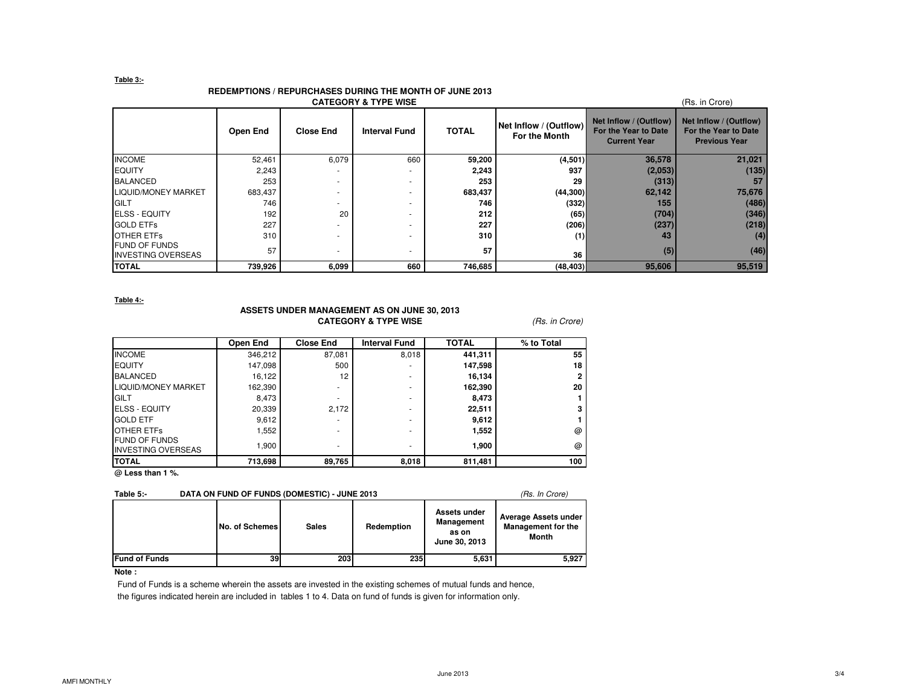#### **Table 3:-**

## **REDEMPTIONS / REPURCHASES DURING THE MONTH OF JUNE 2013**

|                                                   |          |                  | <b>CATEGORY &amp; TYPE WISE</b> |              |                                         |                                                                       | (Rs. in Crore)                                                         |
|---------------------------------------------------|----------|------------------|---------------------------------|--------------|-----------------------------------------|-----------------------------------------------------------------------|------------------------------------------------------------------------|
|                                                   | Open End | <b>Close End</b> | <b>Interval Fund</b>            | <b>TOTAL</b> | Net Inflow / (Outflow)<br>For the Month | Net Inflow / (Outflow)<br>For the Year to Date<br><b>Current Year</b> | Net Inflow / (Outflow)<br>For the Year to Date<br><b>Previous Year</b> |
| <b>INCOME</b>                                     | 52,461   | 6,079            | 660                             | 59,200       | (4,501)                                 | 36,578                                                                | 21,021                                                                 |
| <b>EQUITY</b>                                     | 2,243    |                  |                                 | 2,243        | 937                                     | (2,053)                                                               | (135)                                                                  |
| <b>BALANCED</b>                                   | 253      |                  | ۰                               | 253          | 29                                      | (313)                                                                 | 57                                                                     |
| <b>LIQUID/MONEY MARKET</b>                        | 683,437  |                  |                                 | 683,437      | (44, 300)                               | 62,142                                                                | 75,676                                                                 |
| <b>GILT</b>                                       | 746      |                  |                                 | 746          | (332)                                   | 155                                                                   | (486)                                                                  |
| <b>ELSS - EQUITY</b>                              | 192      | 20               |                                 | 212          | (65)                                    | (704)                                                                 | (346)                                                                  |
| <b>GOLD ETFS</b>                                  | 227      |                  |                                 | 227          | (206)                                   | (237)                                                                 | (218)                                                                  |
| <b>OTHER ETFS</b>                                 | 310      |                  |                                 | 310          | (1)                                     | 43                                                                    | (4)                                                                    |
| <b>FUND OF FUNDS</b><br><b>INVESTING OVERSEAS</b> | 57       |                  |                                 | 57           | 36                                      | (5)                                                                   | (46)                                                                   |
| <b>TOTAL</b>                                      | 739,926  | 6,099            | 660                             | 746,685      | (48, 403)                               | 95,606                                                                | 95,519                                                                 |

#### **Table 4:-**

## **ASSETS UNDER MANAGEMENT AS ON JUNE 30, 2013CATEGORY & TYPE WISE** (Rs. in Crore)

| Open End | <b>Close End</b> | <b>Interval Fund</b> | <b>TOTAL</b> | % to Total   |
|----------|------------------|----------------------|--------------|--------------|
| 346,212  | 87,081           | 8,018                | 441,311      | 55           |
| 147,098  | 500              |                      | 147,598      | 18           |
| 16,122   | 12               | ۰                    | 16,134       | $\mathbf{2}$ |
| 162,390  | ۰                | ۰                    | 162,390      | 20           |
| 8,473    | ۰                | ۰                    | 8,473        |              |
| 20,339   | 2,172            | ۰                    | 22,511       | 3            |
| 9,612    |                  | ۰                    | 9,612        |              |
| 1,552    | ۰                | ۰                    | 1,552        | @            |
| 1,900    | ۰                | ۰                    | 1,900        | $\omega$     |
| 713,698  | 89,765           | 8,018                | 811,481      | 100          |
|          |                  |                      |              |              |

**@ Less than 1 %.**

# **Table 5:-** DATA ON FUND OF FUNDS (DOMESTIC) - JUNE 2013 (Rs. In Crore)

|               | No. of Schemes | <b>Sales</b> | Redemption | Assets under<br>Management<br>as on<br>June 30, 2013 | Average Assets under<br><b>Management for the</b><br>Month |
|---------------|----------------|--------------|------------|------------------------------------------------------|------------------------------------------------------------|
| Fund of Funds | 39             | 203          | <b>235</b> | 5,631                                                | 5,927                                                      |

## **Note :**

 Fund of Funds is a scheme wherein the assets are invested in the existing schemes of mutual funds and hence, the figures indicated herein are included in tables 1 to 4. Data on fund of funds is given for information only.